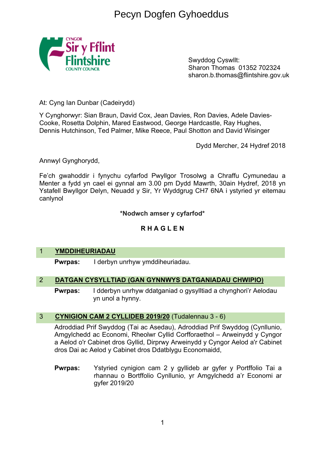# Pecyn Dogfen Gyhoeddus



Swyddog Cyswllt: Sharon Thomas 01352 702324 sharon.b.thomas@flintshire.gov.uk

At: Cyng Ian Dunbar (Cadeirydd)

Y Cynghorwyr: Sian Braun, David Cox, Jean Davies, Ron Davies, Adele Davies-Cooke, Rosetta Dolphin, Mared Eastwood, George Hardcastle, Ray Hughes, Dennis Hutchinson, Ted Palmer, Mike Reece, Paul Shotton and David Wisinger

Dydd Mercher, 24 Hydref 2018

Annwyl Gynghorydd,

Fe'ch gwahoddir i fynychu cyfarfod Pwyllgor Trosolwg a Chraffu Cymunedau a Menter a fydd yn cael ei gynnal am 3.00 pm Dydd Mawrth, 30ain Hydref, 2018 yn Ystafell Bwyllgor Delyn, Neuadd y Sir, Yr Wyddgrug CH7 6NA i ystyried yr eitemau canlynol

#### **\*Nodwch amser y cyfarfod\***

#### **R H A G L E N**

#### 1 **YMDDIHEURIADAU**

**Pwrpas:** I derbyn unrhyw ymddiheuriadau.

#### 2 **DATGAN CYSYLLTIAD (GAN GYNNWYS DATGANIADAU CHWIPIO)**

**Pwrpas:** I dderbyn unrhyw ddatganiad o gysylltiad a chynghori'r Aelodau yn unol a hynny.

#### 3 **CYNIGION CAM 2 CYLLIDEB 2019/20** (Tudalennau 3 - 6)

Adroddiad Prif Swyddog (Tai ac Asedau), Adroddiad Prif Swyddog (Cynllunio, Amgylchedd ac Economi, Rheolwr Cyllid Corfforaethol – Arweinydd y Cyngor a Aelod o'r Cabinet dros Gyllid, Dirprwy Arweinydd y Cyngor Aelod a'r Cabinet dros Dai ac Aelod y Cabinet dros Ddatblygu Economaidd,

**Pwrpas:** Ystyried cynigion cam 2 y gyllideb ar gyfer y Portffolio Tai a rhannau o Bortffolio Cynllunio, yr Amgylchedd a'r Economi ar gyfer 2019/20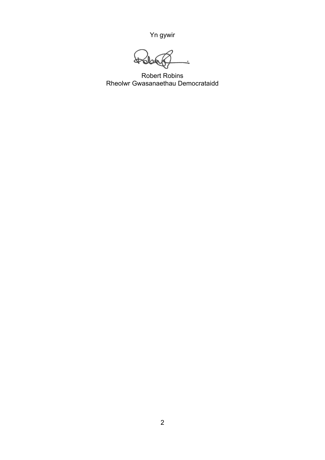Yn gywir

 $\cancel{4}$ 

Robert Robins Rheolwr Gwasanaethau Democrataidd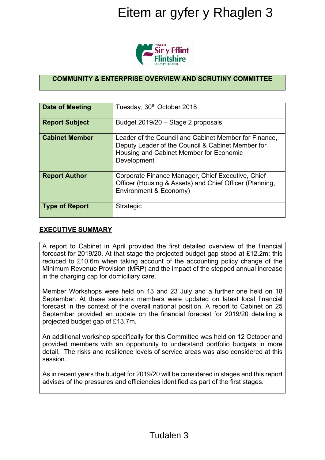

### **COMMUNITY & ENTERPRISE OVERVIEW AND SCRUTINY COMMITTEE**

|                                                                                                                                                                                                                                                                                                                                                                                        | Eitem ar gyfer y Rhaglen 3                                                                                                                                           |
|----------------------------------------------------------------------------------------------------------------------------------------------------------------------------------------------------------------------------------------------------------------------------------------------------------------------------------------------------------------------------------------|----------------------------------------------------------------------------------------------------------------------------------------------------------------------|
|                                                                                                                                                                                                                                                                                                                                                                                        | Sir y Fflint                                                                                                                                                         |
|                                                                                                                                                                                                                                                                                                                                                                                        | <b>COMMUNITY &amp; ENTERPRISE OVERVIEW AND SCRUTINY COMMITTEE</b>                                                                                                    |
|                                                                                                                                                                                                                                                                                                                                                                                        |                                                                                                                                                                      |
| <b>Date of Meeting</b>                                                                                                                                                                                                                                                                                                                                                                 | Tuesday, 30 <sup>th</sup> October 2018                                                                                                                               |
| <b>Report Subject</b>                                                                                                                                                                                                                                                                                                                                                                  | Budget 2019/20 - Stage 2 proposals                                                                                                                                   |
| <b>Cabinet Member</b>                                                                                                                                                                                                                                                                                                                                                                  | Leader of the Council and Cabinet Member for Finance,<br>Deputy Leader of the Council & Cabinet Member for<br>Housing and Cabinet Member for Economic<br>Development |
| <b>Report Author</b>                                                                                                                                                                                                                                                                                                                                                                   | Corporate Finance Manager, Chief Executive, Chief<br>Officer (Housing & Assets) and Chief Officer (Planning,<br>Environment & Economy)                               |
| <b>Type of Report</b>                                                                                                                                                                                                                                                                                                                                                                  | Strategic                                                                                                                                                            |
| <b>EXECUTIVE SUMMARY</b>                                                                                                                                                                                                                                                                                                                                                               |                                                                                                                                                                      |
| A report to Cabinet in April provided the first detailed overview of the financial<br>forecast for 2019/20. At that stage the projected budget gap stood at £12.2m; this<br>reduced to £10.6m when taking account of the accounting policy change of the<br>Minimum Revenue Provision (MRP) and the impact of the stepped annual increase<br>in the charging cap for domiciliary care. |                                                                                                                                                                      |
| Member Workshops were held on 13 and 23 July and a further one held on 18<br>September. At these sessions members were updated on latest local financial<br>forecast in the context of the overall national position. A report to Cabinet on 25<br>September provided an update on the financial forecast for 2019/20 detailing a<br>projected budget gap of £13.7m.                   |                                                                                                                                                                      |
| An additional workshop specifically for this Committee was held on 12 October and<br>provided members with an opportunity to understand portfolio budgets in more<br>detail. The risks and resilience levels of service areas was also considered at this<br>session.                                                                                                                  |                                                                                                                                                                      |
| As in recent years the budget for 2019/20 will be considered in stages and this report<br>advises of the pressures and efficiencies identified as part of the first stages.                                                                                                                                                                                                            |                                                                                                                                                                      |
|                                                                                                                                                                                                                                                                                                                                                                                        | Tudalen 3                                                                                                                                                            |

#### **EXECUTIVE SUMMARY**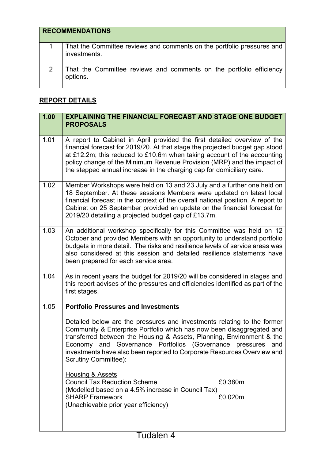| <b>RECOMMENDATIONS</b>                                                                 |
|----------------------------------------------------------------------------------------|
| That the Committee reviews and comments on the portfolio pressures and<br>investments. |
| That the Committee reviews and comments on the portfolio efficiency<br>options.        |

## **REPORT DETAILS**

| 1.00 | <b>EXPLAINING THE FINANCIAL FORECAST AND STAGE ONE BUDGET</b><br><b>PROPOSALS</b>                                                                                                                                                                                                                                                                                                                        |
|------|----------------------------------------------------------------------------------------------------------------------------------------------------------------------------------------------------------------------------------------------------------------------------------------------------------------------------------------------------------------------------------------------------------|
| 1.01 | A report to Cabinet in April provided the first detailed overview of the<br>financial forecast for 2019/20. At that stage the projected budget gap stood<br>at £12.2m; this reduced to £10.6m when taking account of the accounting<br>policy change of the Minimum Revenue Provision (MRP) and the impact of<br>the stepped annual increase in the charging cap for domiciliary care.                   |
| 1.02 | Member Workshops were held on 13 and 23 July and a further one held on<br>18 September. At these sessions Members were updated on latest local<br>financial forecast in the context of the overall national position. A report to<br>Cabinet on 25 September provided an update on the financial forecast for<br>2019/20 detailing a projected budget gap of £13.7m.                                     |
| 1.03 | An additional workshop specifically for this Committee was held on 12<br>October and provided Members with an opportunity to understand portfolio<br>budgets in more detail. The risks and resilience levels of service areas was<br>also considered at this session and detailed resilience statements have<br>been prepared for each service area.                                                     |
| 1.04 | As in recent years the budget for 2019/20 will be considered in stages and<br>this report advises of the pressures and efficiencies identified as part of the<br>first stages.                                                                                                                                                                                                                           |
| 1.05 | <b>Portfolio Pressures and Investments</b>                                                                                                                                                                                                                                                                                                                                                               |
|      | Detailed below are the pressures and investments relating to the former<br>Community & Enterprise Portfolio which has now been disaggregated and<br>transferred between the Housing & Assets, Planning, Environment & the<br>Economy and Governance Portfolios (Governance<br>pressures<br>and<br>investments have also been reported to Corporate Resources Overview and<br><b>Scrutiny Committee):</b> |
|      | <b>Housing &amp; Assets</b><br><b>Council Tax Reduction Scheme</b><br>£0.380m<br>(Modelled based on a 4.5% increase in Council Tax)<br><b>SHARP Framework</b><br>£0.020m<br>(Unachievable prior year efficiency)                                                                                                                                                                                         |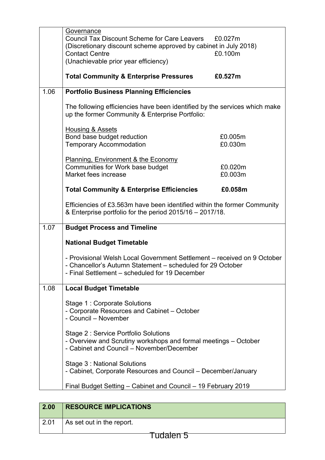|      | Governance                                                                                                                                           |         |
|------|------------------------------------------------------------------------------------------------------------------------------------------------------|---------|
|      | <b>Council Tax Discount Scheme for Care Leavers</b>                                                                                                  | £0.027m |
|      | (Discretionary discount scheme approved by cabinet in July 2018)                                                                                     |         |
|      | <b>Contact Centre</b>                                                                                                                                | £0.100m |
|      | (Unachievable prior year efficiency)                                                                                                                 |         |
|      | <b>Total Community &amp; Enterprise Pressures</b>                                                                                                    | £0.527m |
| 1.06 | <b>Portfolio Business Planning Efficiencies</b>                                                                                                      |         |
|      | The following efficiencies have been identified by the services which make<br>up the former Community & Enterprise Portfolio:                        |         |
|      | <b>Housing &amp; Assets</b>                                                                                                                          |         |
|      | Bond base budget reduction                                                                                                                           | £0.005m |
|      | <b>Temporary Accommodation</b>                                                                                                                       | £0.030m |
|      |                                                                                                                                                      |         |
|      | <b>Planning, Environment &amp; the Economy</b>                                                                                                       |         |
|      | Communities for Work base budget<br>Market fees increase                                                                                             | £0.020m |
|      |                                                                                                                                                      | £0.003m |
|      | <b>Total Community &amp; Enterprise Efficiencies</b>                                                                                                 | £0.058m |
|      | Efficiencies of £3.563m have been identified within the former Community<br>& Enterprise portfolio for the period 2015/16 - 2017/18.                 |         |
| 1.07 | <b>Budget Process and Timeline</b>                                                                                                                   |         |
|      | <b>National Budget Timetable</b>                                                                                                                     |         |
|      |                                                                                                                                                      |         |
|      | - Provisional Welsh Local Government Settlement – received on 9 October                                                                              |         |
|      | - Chancellor's Autumn Statement - scheduled for 29 October<br>- Final Settlement - scheduled for 19 December                                         |         |
| 1.08 | <b>Local Budget Timetable</b>                                                                                                                        |         |
|      | Stage 1: Corporate Solutions<br>- Corporate Resources and Cabinet - October<br>- Council - November                                                  |         |
|      | Stage 2: Service Portfolio Solutions<br>- Overview and Scrutiny workshops and formal meetings – October<br>- Cabinet and Council - November/December |         |
|      | Stage 3: National Solutions<br>- Cabinet, Corporate Resources and Council – December/January                                                         |         |
|      | Final Budget Setting - Cabinet and Council - 19 February 2019                                                                                        |         |

| As set out in the report. |
|---------------------------|
|                           |